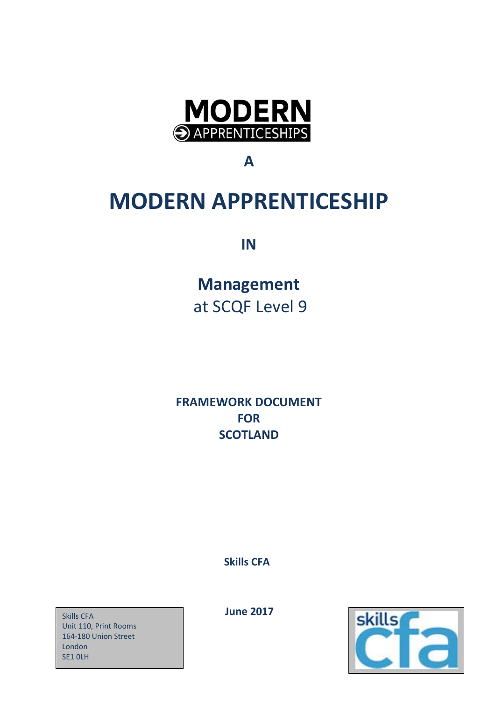

**A**

# **MODERN APPRENTICESHIP**

**IN**

**Management** at SCQF Level 9

**FRAMEWORK DOCUMENT FOR SCOTLAND**

 **Skills CFA**

*Skills CFA* **1999 100 <b>June** 2017 Unit 110, Print Rooms 164-180 Union Street London SE1 0LH

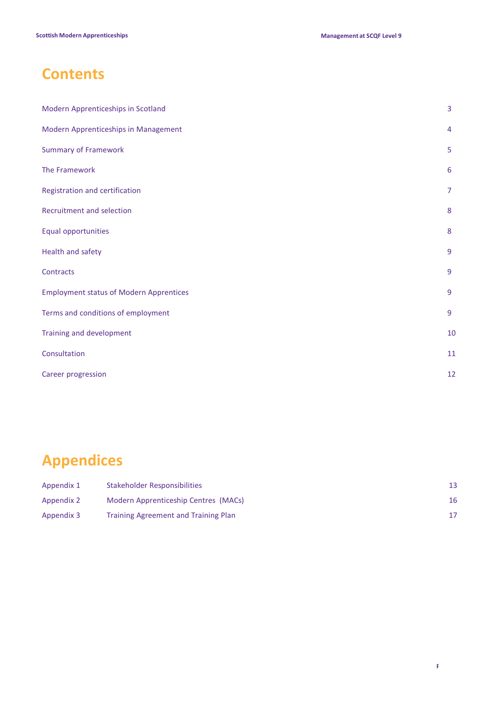## **Contents**

| Modern Apprenticeships in Scotland             | $\overline{3}$ |
|------------------------------------------------|----------------|
| Modern Apprenticeships in Management           | $\overline{4}$ |
| <b>Summary of Framework</b>                    | 5              |
| The Framework                                  | 6              |
| Registration and certification                 | $\overline{7}$ |
| Recruitment and selection                      | 8              |
| Equal opportunities                            | 8              |
| Health and safety                              | $\overline{9}$ |
| Contracts                                      | 9              |
| <b>Employment status of Modern Apprentices</b> | 9              |
| Terms and conditions of employment             | 9              |
| Training and development                       | 10             |
| Consultation                                   | 11             |
| Career progression                             | 12             |

# **Appendices**

| Appendix 1 | Stakeholder Responsibilities         |    |
|------------|--------------------------------------|----|
| Appendix 2 | Modern Apprenticeship Centres (MACs) | 16 |
| Appendix 3 | Training Agreement and Training Plan |    |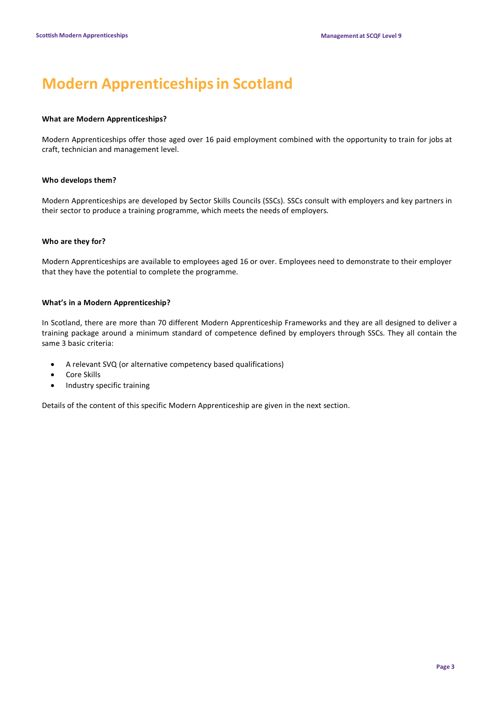## **Modern Apprenticeshipsin Scotland**

### **What are Modern Apprenticeships?**

Modern Apprenticeships offer those aged over 16 paid employment combined with the opportunity to train for jobs at craft, technician and management level.

### **Who develops them?**

Modern Apprenticeships are developed by Sector Skills Councils (SSCs). SSCs consult with employers and key partners in their sector to produce a training programme, which meets the needs of employers.

### **Who are they for?**

Modern Apprenticeships are available to employees aged 16 or over. Employees need to demonstrate to their employer that they have the potential to complete the programme.

### **What's in a Modern Apprenticeship?**

In Scotland, there are more than 70 different Modern Apprenticeship Frameworks and they are all designed to deliver a training package around a minimum standard of competence defined by employers through SSCs. They all contain the same 3 basic criteria:

- A relevant SVQ (or alternative competency based qualifications)
- Core Skills
- Industry specific training

Details of the content of this specific Modern Apprenticeship are given in the next section.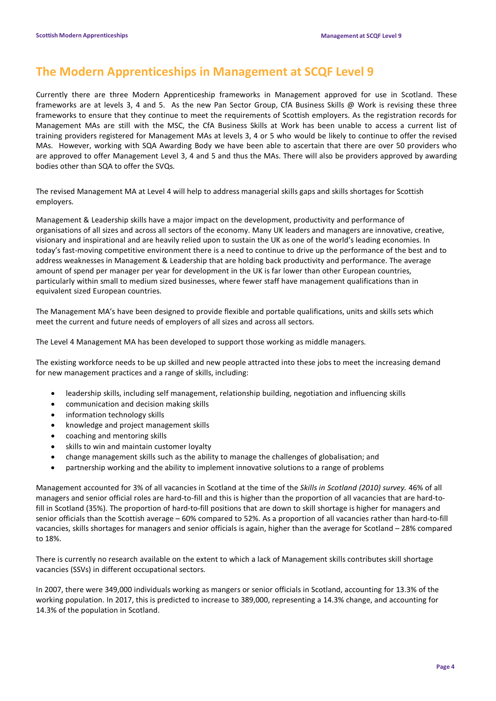## **The Modern Apprenticeships in Management at SCQF Level 9**

Currently there are three Modern Apprenticeship frameworks in Management approved for use in Scotland. These frameworks are at levels 3, 4 and 5. As the new Pan Sector Group, CfA Business Skills @ Work is revising these three frameworks to ensure that they continue to meet the requirements of Scottish employers. As the registration records for Management MAs are still with the MSC, the CfA Business Skills at Work has been unable to access a current list of training providers registered for Management MAs at levels 3, 4 or 5 who would be likely to continue to offer the revised MAs. However, working with SQA Awarding Body we have been able to ascertain that there are over 50 providers who are approved to offer Management Level 3, 4 and 5 and thus the MAs. There will also be providers approved by awarding bodies other than SQA to offer the SVQs.

The revised Management MA at Level 4 will help to address managerial skills gaps and skills shortages for Scottish employers.

Management & Leadership skills have a major impact on the development, productivity and performance of organisations of all sizes and across all sectors of the economy. Many UK leaders and managers are innovative, creative, visionary and inspirational and are heavily relied upon to sustain the UK as one of the world's leading economies. In today's fast-moving competitive environment there is a need to continue to drive up the performance of the best and to address weaknesses in Management & Leadership that are holding back productivity and performance. The average amount of spend per manager per year for development in the UK is far lower than other European countries, particularly within small to medium sized businesses, where fewer staff have management qualifications than in equivalent sized European countries.

The Management MA's have been designed to provide flexible and portable qualifications, units and skills sets which meet the current and future needs of employers of all sizes and across all sectors.

The Level 4 Management MA has been developed to support those working as middle managers.

The existing workforce needs to be up skilled and new people attracted into these jobs to meet the increasing demand for new management practices and a range of skills, including:

- leadership skills, including self management, relationship building, negotiation and influencing skills
- communication and decision making skills
- information technology skills
- knowledge and project management skills
- coaching and mentoring skills
- skills to win and maintain customer loyalty
- change management skills such as the ability to manage the challenges of globalisation; and
- partnership working and the ability to implement innovative solutions to a range of problems

Management accounted for 3% of all vacancies in Scotland at the time of the *Skills in Scotland (2010) survey.* 46% of all managers and senior official roles are hard-to-fill and this is higher than the proportion of all vacancies that are hard-tofill in Scotland (35%). The proportion of hard-to-fill positions that are down to skill shortage is higher for managers and senior officials than the Scottish average – 60% compared to 52%. As a proportion of all vacancies rather than hard-to-fill vacancies, skills shortages for managers and senior officials is again, higher than the average for Scotland – 28% compared to 18%.

There is currently no research available on the extent to which a lack of Management skills contributes skill shortage vacancies (SSVs) in different occupational sectors.

In 2007, there were 349,000 individuals working as mangers or senior officials in Scotland, accounting for 13.3% of the working population. In 2017, this is predicted to increase to 389,000, representing a 14.3% change, and accounting for 14.3% of the population in Scotland.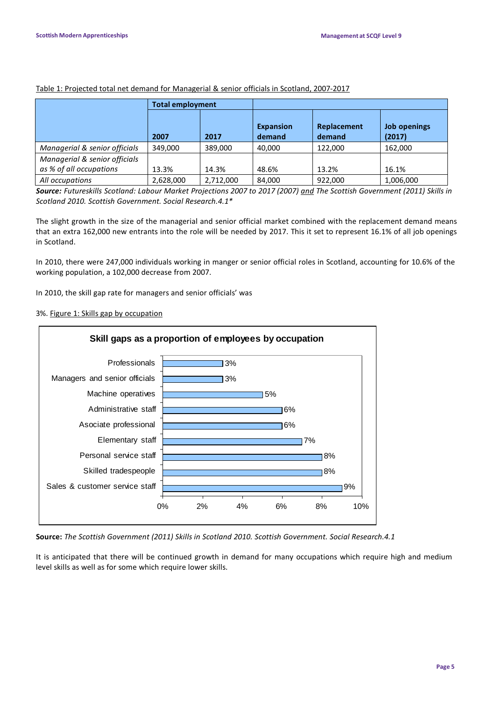|                                                          | <b>Total employment</b> |           |                            |                       |                        |
|----------------------------------------------------------|-------------------------|-----------|----------------------------|-----------------------|------------------------|
|                                                          | 2007                    | 2017      | <b>Expansion</b><br>demand | Replacement<br>demand | Job openings<br>(2017) |
| Managerial & senior officials                            | 349.000                 | 389,000   | 40,000                     | 122,000               | 162,000                |
| Managerial & senior officials<br>as % of all occupations | 13.3%                   | 14.3%     | 48.6%                      | 13.2%                 | 16.1%                  |
| All occupations                                          | 2,628,000               | 2,712,000 | 84.000                     | 922,000               | 1,006,000              |

### Table 1: Projected total net demand for Managerial & senior officials in Scotland, 2007-2017

Source: Futureskills Scotland: Labour Market Projections 2007 to 2017 (2007) and The Scottish Government (2011) Skills in *Scotland 2010. Scottish Government. Social Research.4.1\**

The slight growth in the size of the managerial and senior official market combined with the replacement demand means that an extra 162,000 new entrants into the role will be needed by 2017. This it set to represent 16.1% of all job openings in Scotland.

In 2010, there were 247,000 individuals working in manger or senior official roles in Scotland, accounting for 10.6% of the working population, a 102,000 decrease from 2007.

In 2010, the skill gap rate for managers and senior officials' was

### 3%. Figure 1: Skills gap by occupation



**Source:** *The Scottish Government (2011) Skills in Scotland 2010. Scottish Government. Social Research.4.1*

It is anticipated that there will be continued growth in demand for many occupations which require high and medium level skills as well as for some which require lower skills.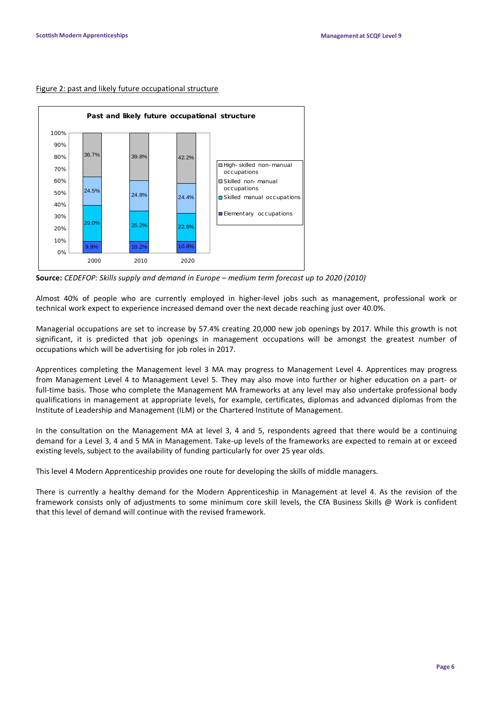#### Figure 2: past and likely future occupational structure



**Source:** *CEDEFOP: Skills supply and demand in Europe – medium term forecast up to 2020 (2010)*

Almost 40% of people who are currently employed in higher-level jobs such as management, professional work or technical work expect to experience increased demand over the next decade reaching just over 40.0%.

Managerial occupations are set to increase by 57.4% creating 20,000 new job openings by 2017. While this growth is not significant, it is predicted that job openings in management occupations will be amongst the greatest number of occupations which will be advertising for job roles in 2017.

Apprentices completing the Management level 3 MA may progress to Management Level 4. Apprentices may progress from Management Level 4 to Management Level 5. They may also move into further or higher education on a part- or full-time basis. Those who complete the Management MA frameworks at any level may also undertake professional body qualifications in management at appropriate levels, for example, certificates, diplomas and advanced diplomas from the Institute of Leadership and Management (ILM) or the Chartered Institute of Management.

In the consultation on the Management MA at level 3, 4 and 5, respondents agreed that there would be a continuing demand for a Level 3, 4 and 5 MA in Management. Take-up levels of the frameworks are expected to remain at or exceed existing levels, subject to the availability of funding particularly for over 25 year olds.

This level 4 Modern Apprenticeship provides one route for developing the skills of middle managers.

There is currently a healthy demand for the Modern Apprenticeship in Management at level 4. As the revision of the framework consists only of adjustments to some minimum core skill levels, the CfA Business Skills @ Work is confident that this level of demand will continue with the revised framework.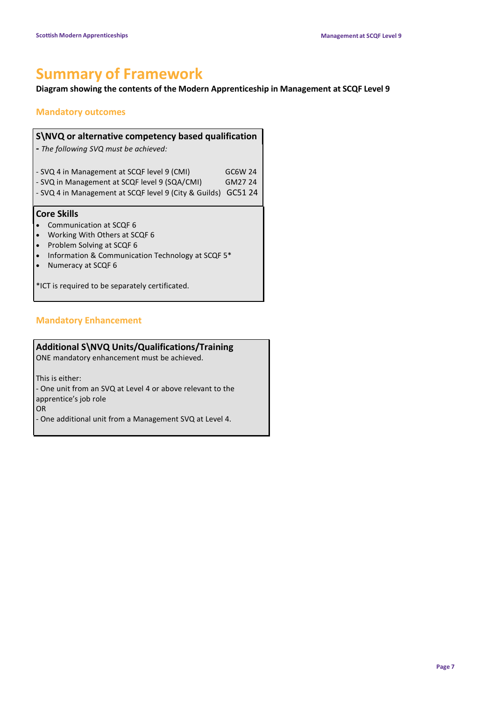## **Summary of Framework**

### **Diagram showing the contents of the Modern Apprenticeship in Management at SCQF Level 9**

### **Mandatory outcomes**

| S\NVQ or alternative competency based qualification<br>- The following SVQ must be achieved:                                                                                                                                                           |                               |
|--------------------------------------------------------------------------------------------------------------------------------------------------------------------------------------------------------------------------------------------------------|-------------------------------|
| - SVQ 4 in Management at SCQF level 9 (CMI)<br>- SVQ in Management at SCQF level 9 (SQA/CMI)<br>- SVQ 4 in Management at SCQF level 9 (City & Guilds)                                                                                                  | GC6W 24<br>GM27 24<br>GC51 24 |
| <b>Core Skills</b><br>Communication at SCQF 6<br>Working With Others at SCQF 6<br>Problem Solving at SCQF 6<br>$\bullet$<br>Information & Communication Technology at SCQF 5*<br>Numeracy at SCQF 6<br>*ICT is required to be separately certificated. |                               |

### **Mandatory Enhancement**

### **Additional S\NVQ Units/Qualifications/Training**

ONE mandatory enhancement must be achieved.

This is either:

- One unit from an SVQ at Level 4 or above relevant to the apprentice's job role

OR

- One additional unit from a Management SVQ at Level 4.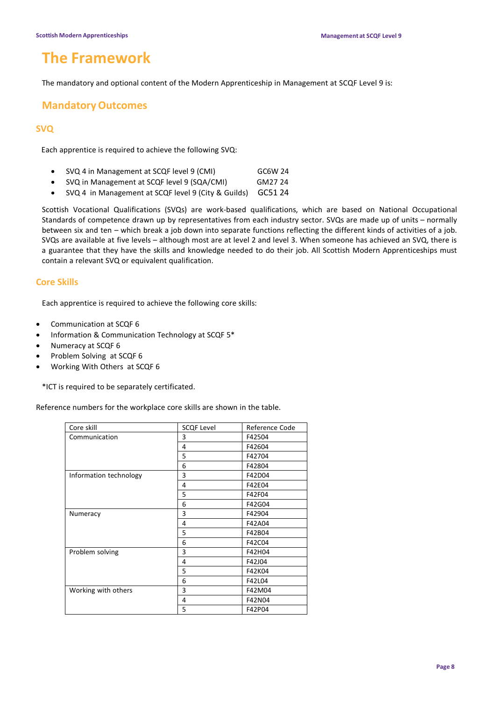## **The Framework**

The mandatory and optional content of the Modern Apprenticeship in Management at SCQF Level 9 is:

### **MandatoryOutcomes**

### **SVQ**

Each apprentice is required to achieve the following SVQ:

- SVQ 4 in Management at SCQF level 9 (CMI) GC6W 24
- SVQ in Management at SCQF level 9 (SQA/CMI) GM27 24
- SVQ 4 in Management at SCQF level 9 (City & Guilds) GC51 24

Scottish Vocational Qualifications (SVQs) are work-based qualifications, which are based on National Occupational Standards of competence drawn up by representatives from each industry sector. SVQs are made up of units – normally between six and ten – which break a job down into separate functions reflecting the different kinds of activities of a job. SVQs are available at five levels – although most are at level 2 and level 3. When someone has achieved an SVQ, there is a guarantee that they have the skills and knowledge needed to do their job. All Scottish Modern Apprenticeships must contain a relevant SVQ or equivalent qualification.

### **Core Skills**

Each apprentice is required to achieve the following core skills:

- Communication at SCQF 6
- Information & Communication Technology at SCQF 5\*
- Numeracy at SCQF 6
- Problem Solving at SCQF 6
- Working With Others at SCQF 6

\*ICT is required to be separately certificated.

Reference numbers for the workplace core skills are shown in the table.

| Core skill             | <b>SCQF Level</b> | Reference Code |
|------------------------|-------------------|----------------|
| Communication          | 3                 | F42504         |
|                        | 4                 | F42604         |
|                        | 5                 | F42704         |
|                        | 6                 | F42804         |
| Information technology | 3                 | F42D04         |
|                        | 4                 | F42E04         |
|                        | 5                 | F42F04         |
|                        | 6                 | F42G04         |
| Numeracy               | 3                 | F42904         |
|                        | 4                 | F42A04         |
|                        | 5                 | F42B04         |
|                        | 6                 | F42C04         |
| Problem solving        | 3                 | F42H04         |
|                        | 4                 | F42J04         |
|                        | 5                 | F42K04         |
|                        | 6                 | F42L04         |
| Working with others    | 3                 | F42M04         |
|                        | 4                 | F42N04         |
|                        | 5                 | F42P04         |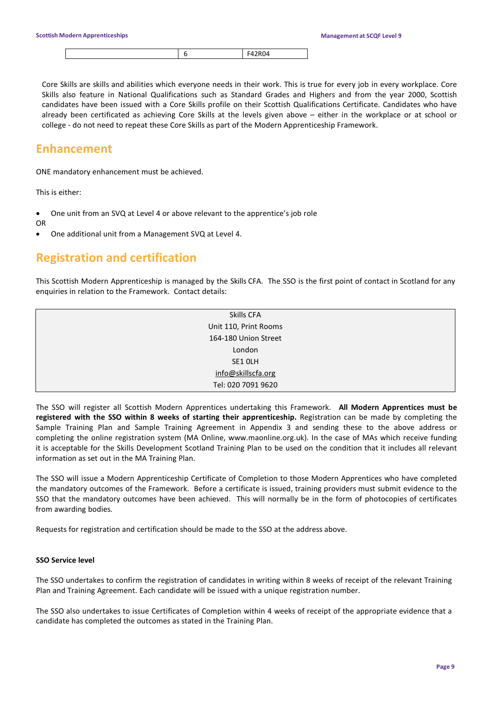|--|--|--|

Core Skills are skills and abilities which everyone needs in their work. This is true for every job in every workplace. Core Skills also feature in National Qualifications such as Standard Grades and Highers and from the year 2000, Scottish candidates have been issued with a Core Skills profile on their Scottish Qualifications Certificate. Candidates who have already been certificated as achieving Core Skills at the levels given above – either in the workplace or at school or college - do not need to repeat these Core Skills as part of the Modern Apprenticeship Framework.

### **Enhancement**

ONE mandatory enhancement must be achieved.

This is either:

- One unit from an SVQ at Level 4 or above relevant to the apprentice's job role
- OR
- One additional unit from a Management SVQ at Level 4.

## **Registration and certification**

This Scottish Modern Apprenticeship is managed by the Skills CFA. The SSO is the first point of contact in Scotland for any enquiries in relation to the Framework. Contact details:

| Skills CFA            |
|-----------------------|
| Unit 110, Print Rooms |
| 164-180 Union Street  |
| London                |
| SE1 OLH               |
| info@skillscfa.org    |
| Tel: 020 7091 9620    |

The SSO will register all Scottish Modern Apprentices undertaking this Framework. **All Modern Apprentices must be registered with the SSO within 8 weeks of starting their apprenticeship.** Registration can be made by completing the Sample Training Plan and Sample Training Agreement in Appendix 3 and sending these to the above address or completing the online registration system (MA Online, www.maonline.org.uk). In the case of MAs which receive funding it is acceptable for the Skills Development Scotland Training Plan to be used on the condition that it includes all relevant information as set out in the MA Training Plan.

The SSO will issue a Modern Apprenticeship Certificate of Completion to those Modern Apprentices who have completed the mandatory outcomes of the Framework. Before a certificate is issued, training providers must submit evidence to the SSO that the mandatory outcomes have been achieved. This will normally be in the form of photocopies of certificates from awarding bodies.

Requests for registration and certification should be made to the SSO at the address above.

### **SSO Service level**

The SSO undertakes to confirm the registration of candidates in writing within 8 weeks of receipt of the relevant Training Plan and Training Agreement. Each candidate will be issued with a unique registration number.

The SSO also undertakes to issue Certificates of Completion within 4 weeks of receipt of the appropriate evidence that a candidate has completed the outcomes as stated in the Training Plan.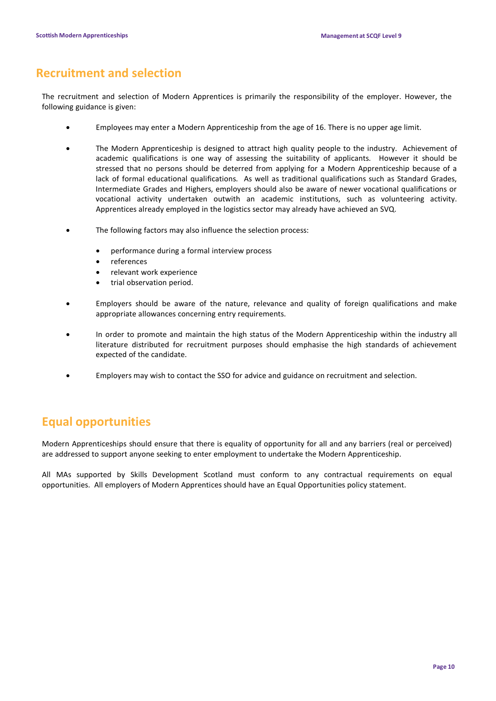## **Recruitment and selection**

The recruitment and selection of Modern Apprentices is primarily the responsibility of the employer. However, the following guidance is given:

- Employees may enter a Modern Apprenticeship from the age of 16. There is no upper age limit.
- The Modern Apprenticeship is designed to attract high quality people to the industry. Achievement of academic qualifications is one way of assessing the suitability of applicants. However it should be stressed that no persons should be deterred from applying for a Modern Apprenticeship because of a lack of formal educational qualifications. As well as traditional qualifications such as Standard Grades, Intermediate Grades and Highers, employers should also be aware of newer vocational qualifications or vocational activity undertaken outwith an academic institutions, such as volunteering activity. Apprentices already employed in the logistics sector may already have achieved an SVQ.
- The following factors may also influence the selection process:
	- performance during a formal interview process
	- references
	- relevant work experience
	- trial observation period.
- Employers should be aware of the nature, relevance and quality of foreign qualifications and make appropriate allowances concerning entry requirements.
- In order to promote and maintain the high status of the Modern Apprenticeship within the industry all literature distributed for recruitment purposes should emphasise the high standards of achievement expected of the candidate.
- Employers may wish to contact the SSO for advice and guidance on recruitment and selection.

## **Equal opportunities**

Modern Apprenticeships should ensure that there is equality of opportunity for all and any barriers (real or perceived) are addressed to support anyone seeking to enter employment to undertake the Modern Apprenticeship.

All MAs supported by Skills Development Scotland must conform to any contractual requirements on equal opportunities. All employers of Modern Apprentices should have an Equal Opportunities policy statement.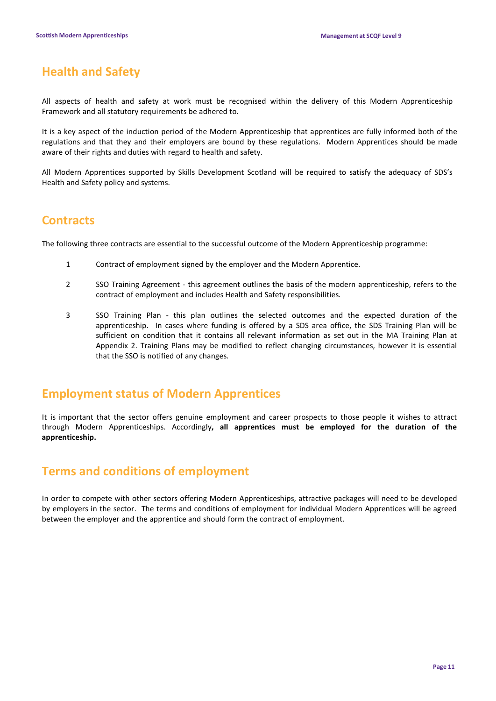## **Health and Safety**

All aspects of health and safety at work must be recognised within the delivery of this Modern Apprenticeship Framework and all statutory requirements be adhered to.

It is a key aspect of the induction period of the Modern Apprenticeship that apprentices are fully informed both of the regulations and that they and their employers are bound by these regulations. Modern Apprentices should be made aware of their rights and duties with regard to health and safety.

All Modern Apprentices supported by Skills Development Scotland will be required to satisfy the adequacy of SDS's Health and Safety policy and systems.

## **Contracts**

The following three contracts are essential to the successful outcome of the Modern Apprenticeship programme:

- 1 Contract of employment signed by the employer and the Modern Apprentice.
- 2 SSO Training Agreement this agreement outlines the basis of the modern apprenticeship, refers to the contract of employment and includes Health and Safety responsibilities.
- 3 SSO Training Plan this plan outlines the selected outcomes and the expected duration of the apprenticeship. In cases where funding is offered by a SDS area office, the SDS Training Plan will be sufficient on condition that it contains all relevant information as set out in the MA Training Plan at Appendix 2. Training Plans may be modified to reflect changing circumstances, however it is essential that the SSO is notified of any changes.

## **Employment status of Modern Apprentices**

It is important that the sector offers genuine employment and career prospects to those people it wishes to attract through Modern Apprenticeships. Accordingly**, all apprentices must be employed for the duration of the apprenticeship.**

## **Terms and conditions of employment**

In order to compete with other sectors offering Modern Apprenticeships, attractive packages will need to be developed by employers in the sector. The terms and conditions of employment for individual Modern Apprentices will be agreed between the employer and the apprentice and should form the contract of employment.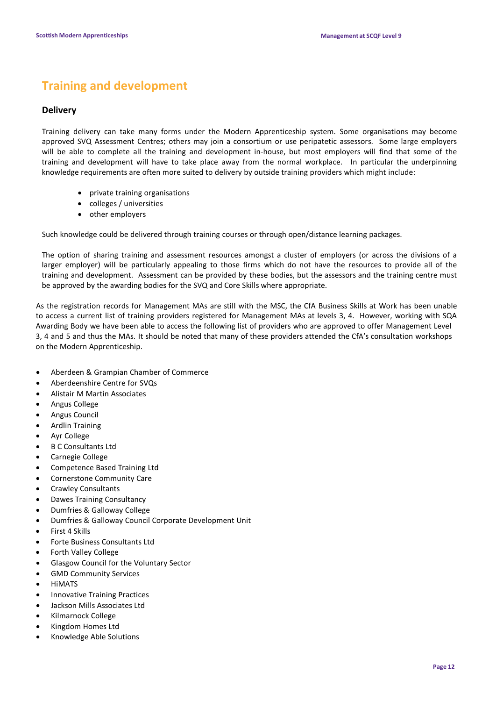## **Training and development**

### **Delivery**

Training delivery can take many forms under the Modern Apprenticeship system. Some organisations may become approved SVQ Assessment Centres; others may join a consortium or use peripatetic assessors. Some large employers will be able to complete all the training and development in-house, but most employers will find that some of the training and development will have to take place away from the normal workplace. In particular the underpinning knowledge requirements are often more suited to delivery by outside training providers which might include:

- private training organisations
- colleges / universities
- other employers

Such knowledge could be delivered through training courses or through open/distance learning packages.

The option of sharing training and assessment resources amongst a cluster of employers (or across the divisions of a larger employer) will be particularly appealing to those firms which do not have the resources to provide all of the training and development. Assessment can be provided by these bodies, but the assessors and the training centre must be approved by the awarding bodies for the SVQ and Core Skills where appropriate.

As the registration records for Management MAs are still with the MSC, the CfA Business Skills at Work has been unable to access a current list of training providers registered for Management MAs at levels 3, 4. However, working with SQA Awarding Body we have been able to access the following list of providers who are approved to offer Management Level 3, 4 and 5 and thus the MAs. It should be noted that many of these providers attended the CfA's consultation workshops on the Modern Apprenticeship.

- Aberdeen & Grampian Chamber of Commerce
- Aberdeenshire Centre for SVQs
- Alistair M Martin Associates
- Angus College
- Angus Council
- Ardlin Training
- Ayr College
- B C Consultants Ltd
- Carnegie College
- Competence Based Training Ltd
- Cornerstone Community Care
- Crawley Consultants
- Dawes Training Consultancy
- Dumfries & Galloway College
- Dumfries & Galloway Council Corporate Development Unit
- First 4 Skills
- Forte Business Consultants Ltd
- Forth Valley College
- Glasgow Council for the Voluntary Sector
- GMD Community Services
- **HIMATS**
- Innovative Training Practices
- Jackson Mills Associates Ltd
- Kilmarnock College
- Kingdom Homes Ltd
- Knowledge Able Solutions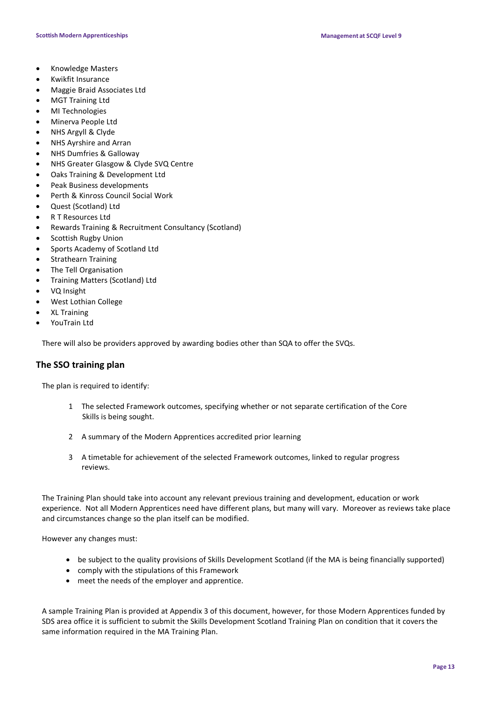- Knowledge Masters
- Kwikfit Insurance
- Maggie Braid Associates Ltd
- MGT Training Ltd
- MI Technologies
- Minerva People Ltd
- NHS Argyll & Clyde
- NHS Ayrshire and Arran
- NHS Dumfries & Galloway
- NHS Greater Glasgow & Clyde SVQ Centre
- Oaks Training & Development Ltd
- Peak Business developments
- Perth & Kinross Council Social Work
- Quest (Scotland) Ltd
- R T Resources Ltd
- Rewards Training & Recruitment Consultancy (Scotland)
- Scottish Rugby Union
- Sports Academy of Scotland Ltd
- Strathearn Training
- The Tell Organisation
- Training Matters (Scotland) Ltd
- VQ Insight
- West Lothian College
- XL Training
- YouTrain Ltd

There will also be providers approved by awarding bodies other than SQA to offer the SVQs.

### **The SSO training plan**

The plan is required to identify:

- 1 The selected Framework outcomes, specifying whether or not separate certification of the Core Skills is being sought.
- 2 A summary of the Modern Apprentices accredited prior learning
- 3 A timetable for achievement of the selected Framework outcomes, linked to regular progress reviews.

The Training Plan should take into account any relevant previous training and development, education or work experience. Not all Modern Apprentices need have different plans, but many will vary. Moreover as reviews take place and circumstances change so the plan itself can be modified.

However any changes must:

- be subject to the quality provisions of Skills Development Scotland (if the MA is being financially supported)
- comply with the stipulations of this Framework
- meet the needs of the employer and apprentice.

A sample Training Plan is provided at Appendix 3 of this document, however, for those Modern Apprentices funded by SDS area office it is sufficient to submit the Skills Development Scotland Training Plan on condition that it covers the same information required in the MA Training Plan.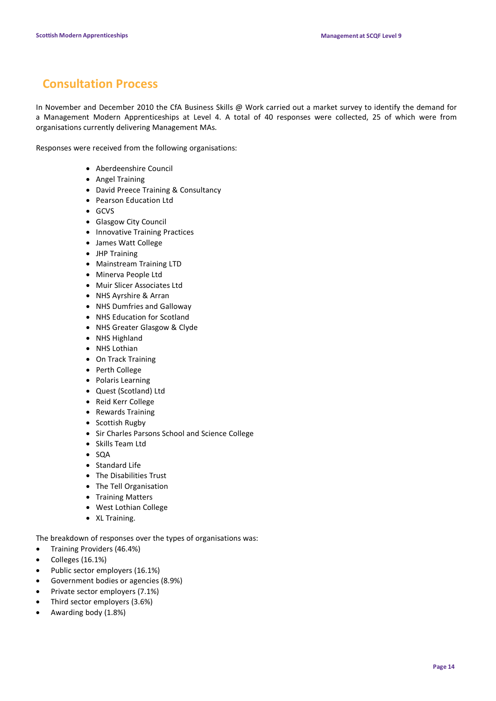## **Consultation Process**

In November and December 2010 the CfA Business Skills @ Work carried out a market survey to identify the demand for a Management Modern Apprenticeships at Level 4. A total of 40 responses were collected, 25 of which were from organisations currently delivering Management MAs.

Responses were received from the following organisations:

- Aberdeenshire Council
- Angel Training
- David Preece Training & Consultancy
- Pearson Education Ltd
- GCVS
- Glasgow City Council
- Innovative Training Practices
- James Watt College
- JHP Training
- Mainstream Training LTD
- Minerva People Ltd
- Muir Slicer Associates Ltd
- NHS Ayrshire & Arran
- NHS Dumfries and Galloway
- NHS Education for Scotland
- NHS Greater Glasgow & Clyde
- NHS Highland
- NHS Lothian
- On Track Training
- Perth College
- Polaris Learning
- Quest (Scotland) Ltd
- Reid Kerr College
- Rewards Training
- Scottish Rugby
- Sir Charles Parsons School and Science College
- Skills Team Ltd
- SQA
- Standard Life
- The Disabilities Trust
- The Tell Organisation
- Training Matters
- West Lothian College
- XL Training.

The breakdown of responses over the types of organisations was:

- Training Providers (46.4%)
- Colleges (16.1%)
- Public sector employers (16.1%)
- Government bodies or agencies (8.9%)
- Private sector employers (7.1%)
- Third sector employers (3.6%)
- Awarding body (1.8%)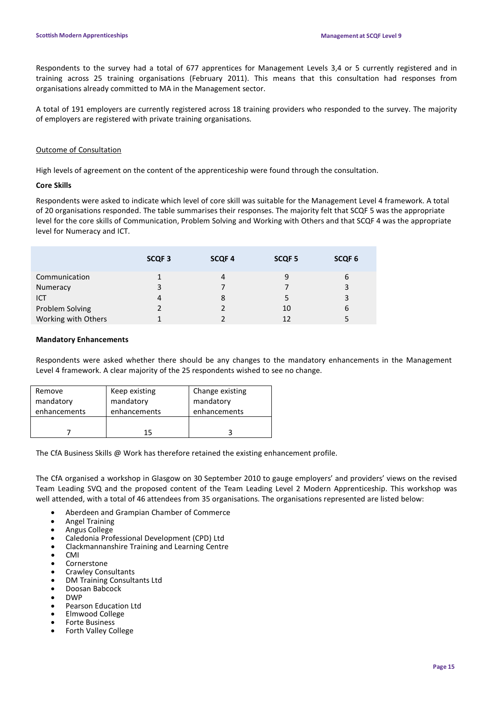Respondents to the survey had a total of 677 apprentices for Management Levels 3,4 or 5 currently registered and in training across 25 training organisations (February 2011). This means that this consultation had responses from organisations already committed to MA in the Management sector.

A total of 191 employers are currently registered across 18 training providers who responded to the survey. The majority of employers are registered with private training organisations.

### Outcome of Consultation

High levels of agreement on the content of the apprenticeship were found through the consultation.

### **Core Skills**

Respondents were asked to indicate which level of core skill was suitable for the Management Level 4 framework. A total of 20 organisations responded. The table summarises their responses. The majority felt that SCQF 5 was the appropriate level for the core skills of Communication, Problem Solving and Working with Others and that SCQF 4 was the appropriate level for Numeracy and ICT.

|                     | SCQF <sub>3</sub> | <b>SCQF4</b> | SCQF <sub>5</sub> | SCQF <sub>6</sub> |
|---------------------|-------------------|--------------|-------------------|-------------------|
| Communication       |                   | 4            | 9                 | 6                 |
| Numeracy            | 3                 |              |                   | 3                 |
| ICT                 | 4                 | 8            |                   | 3                 |
| Problem Solving     |                   |              | 10                | 6                 |
| Working with Others |                   |              | 12                |                   |

### **Mandatory Enhancements**

Respondents were asked whether there should be any changes to the mandatory enhancements in the Management Level 4 framework. A clear majority of the 25 respondents wished to see no change.

| Remove       | Keep existing | Change existing |
|--------------|---------------|-----------------|
| mandatory    | mandatory     | mandatory       |
| enhancements | enhancements  | enhancements    |
|              | 15            |                 |

The CfA Business Skills @ Work has therefore retained the existing enhancement profile.

The CfA organised a workshop in Glasgow on 30 September 2010 to gauge employers' and providers' views on the revised Team Leading SVQ and the proposed content of the Team Leading Level 2 Modern Apprenticeship. This workshop was well attended, with a total of 46 attendees from 35 organisations. The organisations represented are listed below:

- Aberdeen and Grampian Chamber of Commerce
- Angel Training
- Angus College
- Caledonia Professional Development (CPD) Ltd
- Clackmannanshire Training and Learning Centre
- CMI
- **Cornerstone**
- Crawley Consultants
- DM Training Consultants Ltd
- Doosan Babcock
- DWP
- Pearson Education Ltd
- Elmwood College
- Forte Business Forth Valley College
-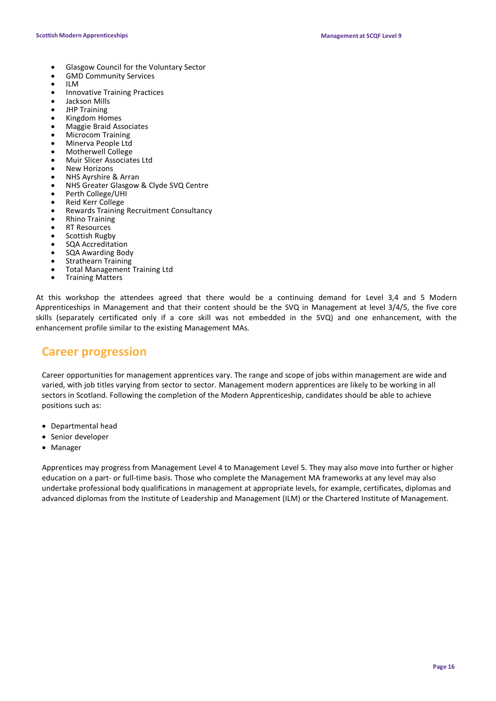- Glasgow Council for the Voluntary Sector
- GMD Community Services<br>• IIM
- ILM
- Innovative Training Practices
- Jackson Mills
- JHP Training
- Kingdom Homes
- Maggie Braid Associates
- Microcom Training • Minerva People Ltd
- Motherwell College
- Muir Slicer Associates Ltd
- New Horizons
- NHS Ayrshire & Arran
- NHS Greater Glasgow & Clyde SVQ Centre
- Perth College/UHI
- Reid Kerr College
- Rewards Training Recruitment Consultancy
- Rhino Training
- **RT Resources**
- Scottish Rugby
- SQA Accreditation
- SQA Awarding Body
- Strathearn Training
- Total Management Training Ltd<br>Training Matters
- 

At this workshop the attendees agreed that there would be a continuing demand for Level 3,4 and 5 Modern Apprenticeships in Management and that their content should be the SVQ in Management at level 3/4/5, the five core skills (separately certificated only if a core skill was not embedded in the SVQ) and one enhancement, with the enhancement profile similar to the existing Management MAs.

## **Career progression**

Career opportunities for management apprentices vary. The range and scope of jobs within management are wide and varied, with job titles varying from sector to sector. Management modern apprentices are likely to be working in all sectors in Scotland. Following the completion of the Modern Apprenticeship, candidates should be able to achieve positions such as:

- Departmental head
- Senior developer
- Manager

Apprentices may progress from Management Level 4 to Management Level 5. They may also move into further or higher education on a part- or full-time basis. Those who complete the Management MA frameworks at any level may also undertake professional body qualifications in management at appropriate levels, for example, certificates, diplomas and advanced diplomas from the Institute of Leadership and Management (ILM) or the Chartered Institute of Management.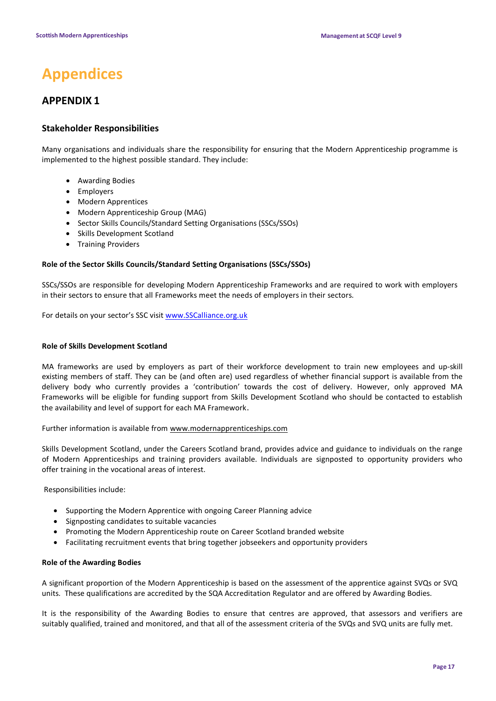## **Appendices**

### **APPENDIX 1**

### **Stakeholder Responsibilities**

Many organisations and individuals share the responsibility for ensuring that the Modern Apprenticeship programme is implemented to the highest possible standard. They include:

- Awarding Bodies
- Employers
- Modern Apprentices
- Modern Apprenticeship Group (MAG)
- Sector Skills Councils/Standard Setting Organisations (SSCs/SSOs)
- Skills Development Scotland
- Training Providers

### **Role of the Sector Skills Councils/Standard Setting Organisations (SSCs/SSOs)**

SSCs/SSOs are responsible for developing Modern Apprenticeship Frameworks and are required to work with employers in their sectors to ensure that all Frameworks meet the needs of employers in their sectors.

For details on your sector's SSC visi[t www.SSCalliance.org.uk](http://www.sscalliance.org.uk/)

### **Role of Skills Development Scotland**

MA frameworks are used by employers as part of their workforce development to train new employees and up-skill existing members of staff. They can be (and often are) used regardless of whether financial support is available from the delivery body who currently provides a 'contribution' towards the cost of delivery. However, only approved MA Frameworks will be eligible for funding support from Skills Development Scotland who should be contacted to establish the availability and level of support for each MA Framework.

Further information is available from [www.modernapprenticeships.com](http://www.modernapprenticeships.com/)

Skills Development Scotland, under the Careers Scotland brand, provides advice and guidance to individuals on the range of Modern Apprenticeships and training providers available. Individuals are signposted to opportunity providers who offer training in the vocational areas of interest.

Responsibilities include:

- Supporting the Modern Apprentice with ongoing Career Planning advice
- Signposting candidates to suitable vacancies
- Promoting the Modern Apprenticeship route on Career Scotland branded website
- Facilitating recruitment events that bring together jobseekers and opportunity providers

### **Role of the Awarding Bodies**

A significant proportion of the Modern Apprenticeship is based on the assessment of the apprentice against SVQs or SVQ units. These qualifications are accredited by the SQA Accreditation Regulator and are offered by Awarding Bodies.

It is the responsibility of the Awarding Bodies to ensure that centres are approved, that assessors and verifiers are suitably qualified, trained and monitored, and that all of the assessment criteria of the SVQs and SVQ units are fully met.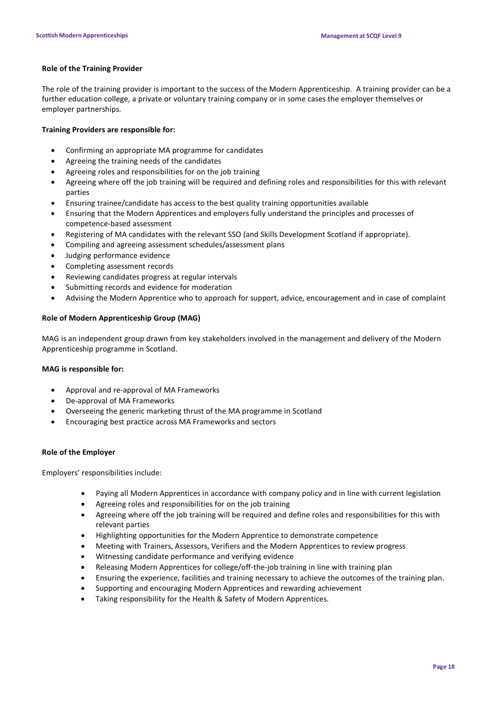### **Role of the Training Provider**

The role of the training provider is important to the success of the Modern Apprenticeship. A training provider can be a further education college, a private or voluntary training company or in some cases the employer themselves or employer partnerships.

### **Training Providers are responsible for:**

- Confirming an appropriate MA programme for candidates
- Agreeing the training needs of the candidates
- Agreeing roles and responsibilities for on the job training
- Agreeing where off the job training will be required and defining roles and responsibilities for this with relevant parties
- Ensuring trainee/candidate has access to the best quality training opportunities available
- Ensuring that the Modern Apprentices and employers fully understand the principles and processes of competence-based assessment
- Registering of MA candidates with the relevant SSO (and Skills Development Scotland if appropriate).
- Compiling and agreeing assessment schedules/assessment plans
- Judging performance evidence
- Completing assessment records
- Reviewing candidates progress at regular intervals
- Submitting records and evidence for moderation
- Advising the Modern Apprentice who to approach for support, advice, encouragement and in case of complaint

### **Role of Modern Apprenticeship Group (MAG)**

MAG is an independent group drawn from key stakeholders involved in the management and delivery of the Modern Apprenticeship programme in Scotland.

### **MAG is responsible for:**

- Approval and re-approval of MA Frameworks
- De-approval of MA Frameworks
- Overseeing the generic marketing thrust of the MA programme in Scotland
- Encouraging best practice across MA Frameworks and sectors

### **Role of the Employer**

Employers' responsibilities include:

- Paying all Modern Apprentices in accordance with company policy and in line with current legislation
- Agreeing roles and responsibilities for on the job training
- Agreeing where off the job training will be required and define roles and responsibilities for this with relevant parties
- Highlighting opportunities for the Modern Apprentice to demonstrate competence
- Meeting with Trainers, Assessors, Verifiers and the Modern Apprentices to review progress
- Witnessing candidate performance and verifying evidence
- Releasing Modern Apprentices for college/off-the-job training in line with training plan
- Ensuring the experience, facilities and training necessary to achieve the outcomes of the training plan.
- Supporting and encouraging Modern Apprentices and rewarding achievement
- Taking responsibility for the Health & Safety of Modern Apprentices.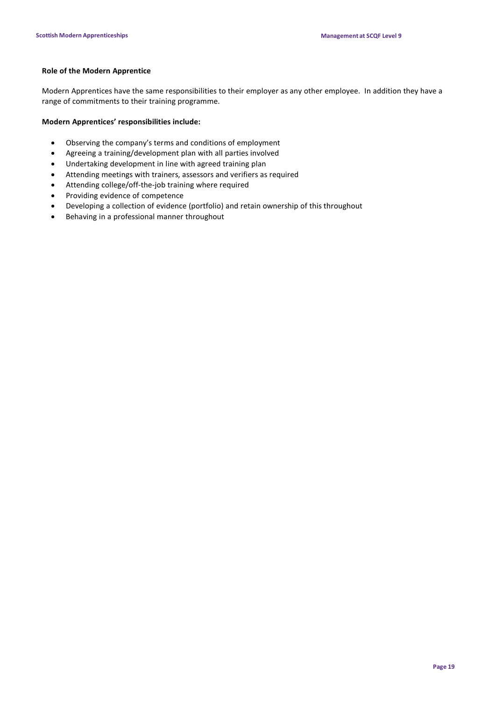### **Role of the Modern Apprentice**

Modern Apprentices have the same responsibilities to their employer as any other employee. In addition they have a range of commitments to their training programme.

### **Modern Apprentices' responsibilities include:**

- Observing the company's terms and conditions of employment
- Agreeing a training/development plan with all parties involved
- Undertaking development in line with agreed training plan
- Attending meetings with trainers, assessors and verifiers as required
- Attending college/off-the-job training where required
- Providing evidence of competence
- Developing a collection of evidence (portfolio) and retain ownership of this throughout
- Behaving in a professional manner throughout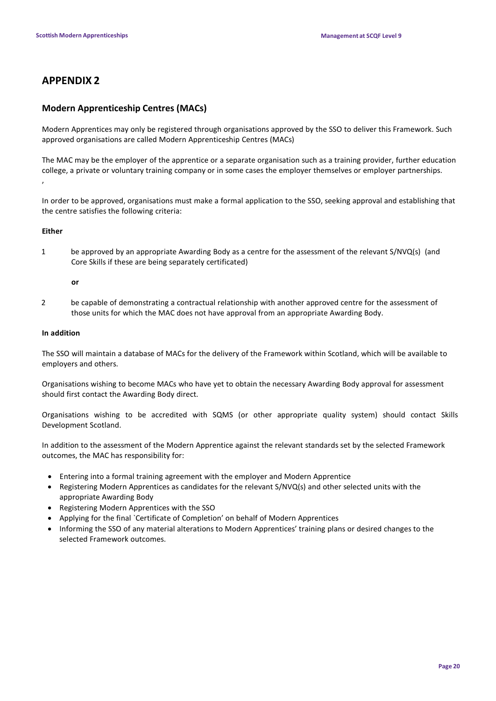### **APPENDIX 2**

### **Modern Apprenticeship Centres (MACs)**

Modern Apprentices may only be registered through organisations approved by the SSO to deliver this Framework. Such approved organisations are called Modern Apprenticeship Centres (MACs)

The MAC may be the employer of the apprentice or a separate organisation such as a training provider, further education college, a private or voluntary training company or in some cases the employer themselves or employer partnerships. ,

In order to be approved, organisations must make a formal application to the SSO, seeking approval and establishing that the centre satisfies the following criteria:

### **Either**

1 be approved by an appropriate Awarding Body as a centre for the assessment of the relevant S/NVQ(s) (and Core Skills if these are being separately certificated)

### **or**

2 be capable of demonstrating a contractual relationship with another approved centre for the assessment of those units for which the MAC does not have approval from an appropriate Awarding Body.

### **In addition**

The SSO will maintain a database of MACs for the delivery of the Framework within Scotland, which will be available to employers and others.

Organisations wishing to become MACs who have yet to obtain the necessary Awarding Body approval for assessment should first contact the Awarding Body direct.

Organisations wishing to be accredited with SQMS (or other appropriate quality system) should contact Skills Development Scotland.

In addition to the assessment of the Modern Apprentice against the relevant standards set by the selected Framework outcomes, the MAC has responsibility for:

- Entering into a formal training agreement with the employer and Modern Apprentice
- Registering Modern Apprentices as candidates for the relevant S/NVQ(s) and other selected units with the appropriate Awarding Body
- Registering Modern Apprentices with the SSO
- Applying for the final `Certificate of Completion' on behalf of Modern Apprentices
- Informing the SSO of any material alterations to Modern Apprentices' training plans or desired changes to the selected Framework outcomes.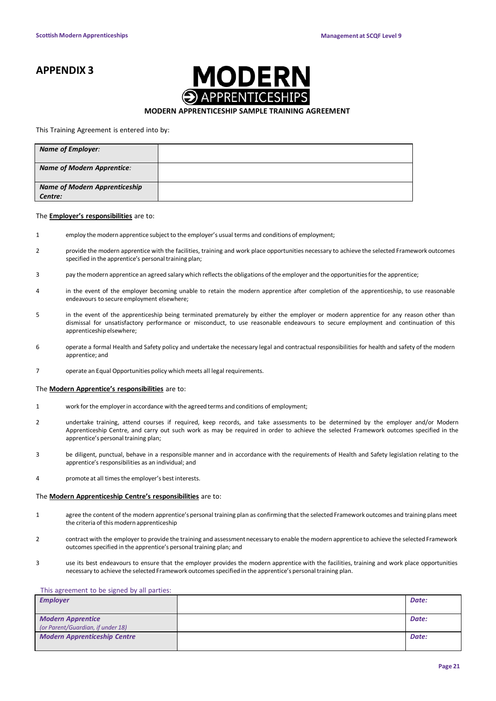### **APPENDIX 3**



### **MODERN APPRENTICESHIP SAMPLE TRAINING AGREEMENT**

#### This Training Agreement is entered into by:

| <b>Name of Employer:</b>                        |  |
|-------------------------------------------------|--|
| <b>Name of Modern Apprentice:</b>               |  |
| <b>Name of Modern Apprenticeship</b><br>Centre: |  |

#### The **Employer's responsibilities** are to:

- 1 employ the modern apprentice subject to the employer's usual terms and conditions of employment;
- 2 provide the modern apprentice with the facilities, training and work place opportunities necessary to achieve the selected Framework outcomes specified in the apprentice's personal training plan;
- 3 pay the modern apprentice an agreed salary which reflects the obligations of the employer and the opportunities for the apprentice;
- 4 in the event of the employer becoming unable to retain the modern apprentice after completion of the apprenticeship, to use reasonable endeavours to secure employment elsewhere;
- 5 in the event of the apprenticeship being terminated prematurely by either the employer or modern apprentice for any reason other than dismissal for unsatisfactory performance or misconduct, to use reasonable endeavours to secure employment and continuation of this apprenticeship elsewhere:
- 6 operate a formal Health and Safety policy and undertake the necessary legal and contractual responsibilities for health and safety of the modern apprentice; and
- 7 operate an Equal Opportunities policy which meets all legal requirements.

#### The **Modern Apprentice's responsibilities** are to:

- 1 work for the employerin accordance with the agreed terms and conditions of employment;
- 2 undertake training, attend courses if required, keep records, and take assessments to be determined by the employer and/or Modern Apprenticeship Centre, and carry out such work as may be required in order to achieve the selected Framework outcomes specified in the apprentice's personal training plan;
- 3 be diligent, punctual, behave in a responsible manner and in accordance with the requirements of Health and Safety legislation relating to the apprentice's responsibilities as an individual; and
- 4 promote at all timesthe employer's best interests.

### The **Modern Apprenticeship Centre's responsibilities** are to:

- 1 agree the content of the modern apprentice'spersonal training plan as confirming that the selected Framework outcomes and training plans meet the criteria of this modern apprenticeship
- 2 contract with the employer to provide the training and assessment necessary to enable the modern apprentice to achieve the selected Framework outcomes specified in the apprentice's personal training plan; and
- 3 use its best endeavours to ensure that the employer provides the modern apprentice with the facilities, training and work place opportunities necessary to achieve the selected Framework outcomes specified in the apprentice's personal training plan.

#### This agreement to be signed by all parties:

| <b>Employer</b>                     | Date: |
|-------------------------------------|-------|
|                                     |       |
| <b>Modern Apprentice</b>            | Date: |
| (or Parent/Guardian, if under 18)   |       |
| <b>Modern Apprenticeship Centre</b> | Date: |
|                                     |       |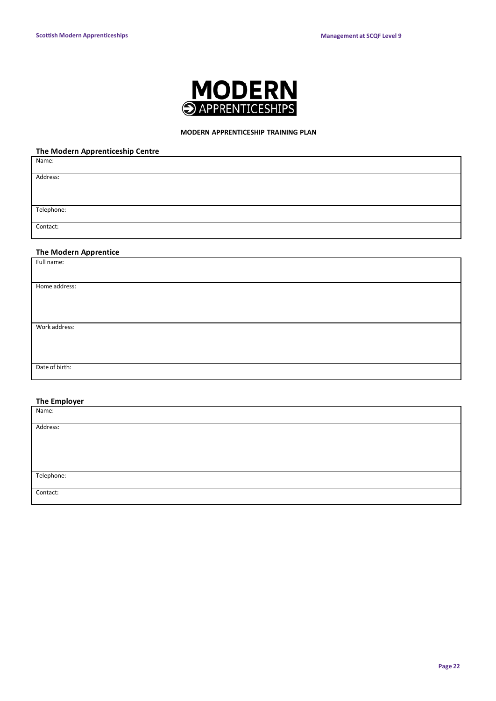

### **MODERN APPRENTICESHIP TRAINING PLAN**

### **The Modern Apprenticeship Centre**

| Name:                        |  |
|------------------------------|--|
| Address:                     |  |
|                              |  |
| Telephone:                   |  |
| Contact:                     |  |
| <b>The Modern Apprentice</b> |  |
| Full name:                   |  |
|                              |  |
| Home address:                |  |
|                              |  |
|                              |  |
| Work address:                |  |
|                              |  |
|                              |  |
| Date of birth:               |  |

### **The Employer**

| Name:      |  |
|------------|--|
|            |  |
| Address:   |  |
|            |  |
|            |  |
|            |  |
|            |  |
|            |  |
| Telephone: |  |
|            |  |
| Contact:   |  |
|            |  |
|            |  |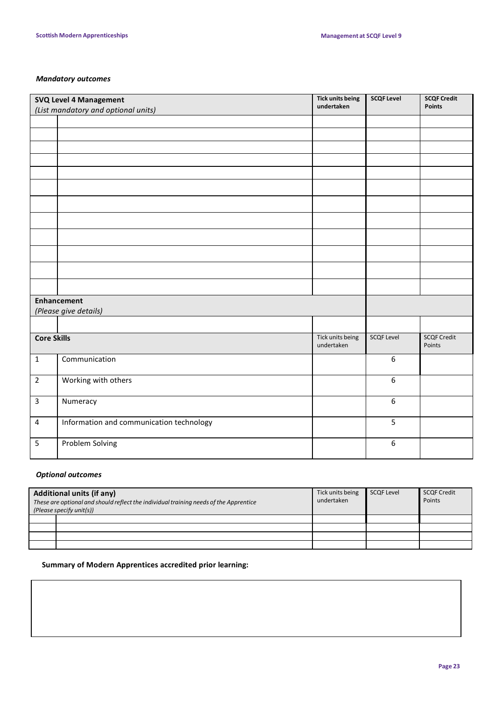### *Mandatory outcomes*

| SVQ Level 4 Management  |                                          | <b>Tick units being</b><br>undertaken | <b>SCQF Level</b> | <b>SCQF Credit</b><br><b>Points</b> |
|-------------------------|------------------------------------------|---------------------------------------|-------------------|-------------------------------------|
|                         | (List mandatory and optional units)      |                                       |                   |                                     |
|                         |                                          |                                       |                   |                                     |
|                         |                                          |                                       |                   |                                     |
|                         |                                          |                                       |                   |                                     |
|                         |                                          |                                       |                   |                                     |
|                         |                                          |                                       |                   |                                     |
|                         |                                          |                                       |                   |                                     |
|                         |                                          |                                       |                   |                                     |
|                         |                                          |                                       |                   |                                     |
|                         |                                          |                                       |                   |                                     |
|                         |                                          |                                       |                   |                                     |
|                         |                                          |                                       |                   |                                     |
|                         |                                          |                                       |                   |                                     |
|                         | <b>Enhancement</b>                       |                                       |                   |                                     |
| (Please give details)   |                                          |                                       |                   |                                     |
|                         |                                          |                                       |                   |                                     |
| <b>Core Skills</b>      |                                          | Tick units being<br>undertaken        | <b>SCQF Level</b> | <b>SCQF Credit</b><br>Points        |
| $\mathbf{1}$            | Communication                            |                                       | $\boldsymbol{6}$  |                                     |
| $\overline{2}$          | Working with others                      |                                       | $\boldsymbol{6}$  |                                     |
| $\overline{3}$          | Numeracy                                 |                                       | $6\phantom{a}$    |                                     |
| $\overline{\mathbf{4}}$ | Information and communication technology |                                       | 5                 |                                     |
| 5                       | Problem Solving                          |                                       | $\boldsymbol{6}$  |                                     |

### *Optional outcomes*

| <b>Additional units (if any)</b><br>These are optional and should reflect the individual training needs of the Apprentice<br>(Please specify unit(s)) |  | Tick units being<br>undertaken | <b>SCQF Level</b> | <b>SCQF Credit</b><br>Points |
|-------------------------------------------------------------------------------------------------------------------------------------------------------|--|--------------------------------|-------------------|------------------------------|
|                                                                                                                                                       |  |                                |                   |                              |
|                                                                                                                                                       |  |                                |                   |                              |
|                                                                                                                                                       |  |                                |                   |                              |
|                                                                                                                                                       |  |                                |                   |                              |

### **Summary of Modern Apprentices accredited prior learning:**